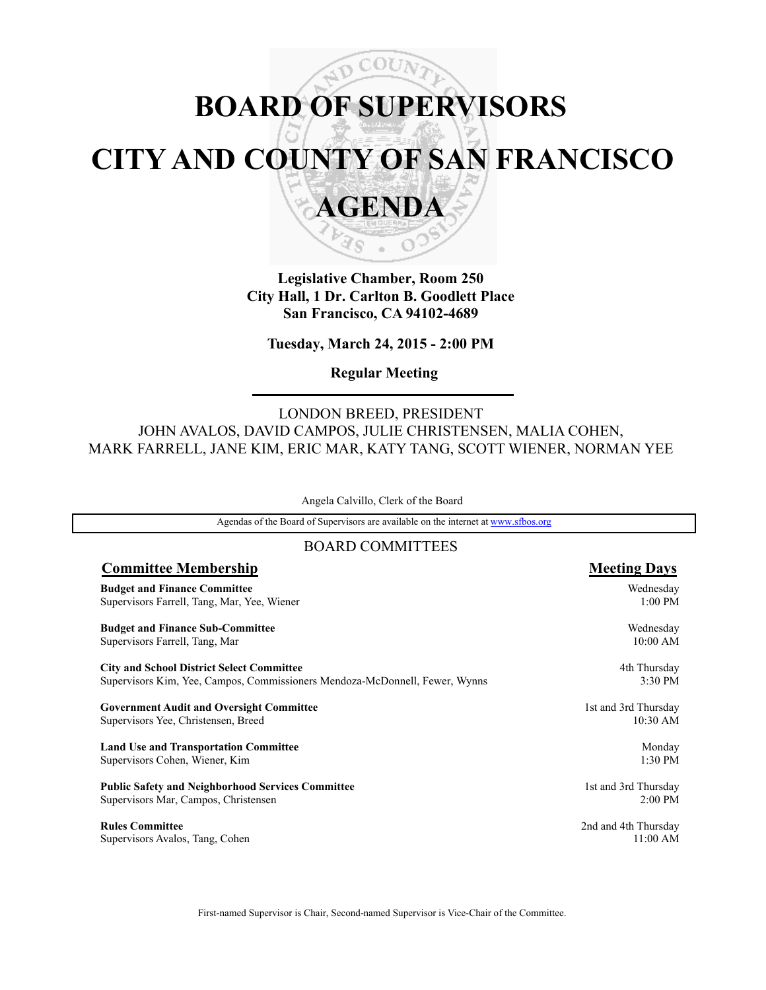# $\sqrt{\rho}$  COUN **BOARD OF SUPERVISORS CITY AND COUNTY OF SAN FRANCISCO AGENDA**

**Legislative Chamber, Room 250 City Hall, 1 Dr. Carlton B. Goodlett Place San Francisco, CA 94102-4689**

₹s

**Tuesday, March 24, 2015 - 2:00 PM**

**Regular Meeting**

LONDON BREED, PRESIDENT JOHN AVALOS, DAVID CAMPOS, JULIE CHRISTENSEN, MALIA COHEN, MARK FARRELL, JANE KIM, ERIC MAR, KATY TANG, SCOTT WIENER, NORMAN YEE

Angela Calvillo, Clerk of the Board

Agendas of the Board of Supervisors are available on the internet at www.sfbos.org

### BOARD COMMITTEES

| <b>Committee Membership</b>                                                 | <b>Meeting Days</b>  |
|-----------------------------------------------------------------------------|----------------------|
| <b>Budget and Finance Committee</b>                                         | Wednesday            |
| Supervisors Farrell, Tang, Mar, Yee, Wiener                                 | $1:00$ PM            |
| <b>Budget and Finance Sub-Committee</b>                                     | Wednesday            |
| Supervisors Farrell, Tang, Mar                                              | 10:00 AM             |
| <b>City and School District Select Committee</b>                            | 4th Thursday         |
| Supervisors Kim, Yee, Campos, Commissioners Mendoza-McDonnell, Fewer, Wynns | 3:30 PM              |
| <b>Government Audit and Oversight Committee</b>                             | 1st and 3rd Thursday |
| Supervisors Yee, Christensen, Breed                                         | 10:30 AM             |
| <b>Land Use and Transportation Committee</b>                                | Monday               |
| Supervisors Cohen, Wiener, Kim                                              | 1:30 PM              |
| <b>Public Safety and Neighborhood Services Committee</b>                    | 1st and 3rd Thursday |
| Supervisors Mar, Campos, Christensen                                        | $2:00$ PM            |
| <b>Rules Committee</b>                                                      | 2nd and 4th Thursday |
| Supervisors Avalos, Tang, Cohen                                             | 11:00 AM             |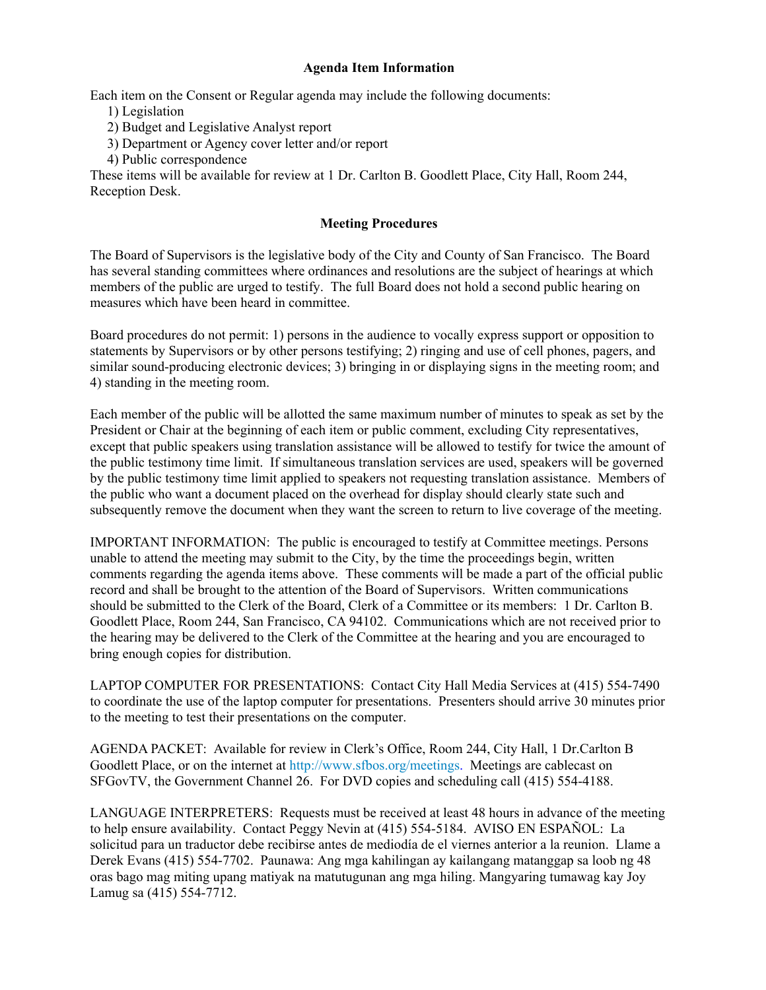### **Agenda Item Information**

Each item on the Consent or Regular agenda may include the following documents:

- 1) Legislation
- 2) Budget and Legislative Analyst report
- 3) Department or Agency cover letter and/or report
- 4) Public correspondence

These items will be available for review at 1 Dr. Carlton B. Goodlett Place, City Hall, Room 244, Reception Desk.

### **Meeting Procedures**

The Board of Supervisors is the legislative body of the City and County of San Francisco. The Board has several standing committees where ordinances and resolutions are the subject of hearings at which members of the public are urged to testify. The full Board does not hold a second public hearing on measures which have been heard in committee.

Board procedures do not permit: 1) persons in the audience to vocally express support or opposition to statements by Supervisors or by other persons testifying; 2) ringing and use of cell phones, pagers, and similar sound-producing electronic devices; 3) bringing in or displaying signs in the meeting room; and 4) standing in the meeting room.

Each member of the public will be allotted the same maximum number of minutes to speak as set by the President or Chair at the beginning of each item or public comment, excluding City representatives, except that public speakers using translation assistance will be allowed to testify for twice the amount of the public testimony time limit. If simultaneous translation services are used, speakers will be governed by the public testimony time limit applied to speakers not requesting translation assistance. Members of the public who want a document placed on the overhead for display should clearly state such and subsequently remove the document when they want the screen to return to live coverage of the meeting.

IMPORTANT INFORMATION: The public is encouraged to testify at Committee meetings. Persons unable to attend the meeting may submit to the City, by the time the proceedings begin, written comments regarding the agenda items above. These comments will be made a part of the official public record and shall be brought to the attention of the Board of Supervisors. Written communications should be submitted to the Clerk of the Board, Clerk of a Committee or its members: 1 Dr. Carlton B. Goodlett Place, Room 244, San Francisco, CA 94102. Communications which are not received prior to the hearing may be delivered to the Clerk of the Committee at the hearing and you are encouraged to bring enough copies for distribution.

LAPTOP COMPUTER FOR PRESENTATIONS: Contact City Hall Media Services at (415) 554-7490 to coordinate the use of the laptop computer for presentations. Presenters should arrive 30 minutes prior to the meeting to test their presentations on the computer.

AGENDA PACKET: Available for review in Clerk's Office, Room 244, City Hall, 1 Dr.Carlton B Goodlett Place, or on the internet at http://www.sfbos.org/meetings. Meetings are cablecast on SFGovTV, the Government Channel 26. For DVD copies and scheduling call (415) 554-4188.

LANGUAGE INTERPRETERS: Requests must be received at least 48 hours in advance of the meeting to help ensure availability. Contact Peggy Nevin at (415) 554-5184. AVISO EN ESPAÑOL: La solicitud para un traductor debe recibirse antes de mediodía de el viernes anterior a la reunion. Llame a Derek Evans (415) 554-7702. Paunawa: Ang mga kahilingan ay kailangang matanggap sa loob ng 48 oras bago mag miting upang matiyak na matutugunan ang mga hiling. Mangyaring tumawag kay Joy Lamug sa (415) 554-7712.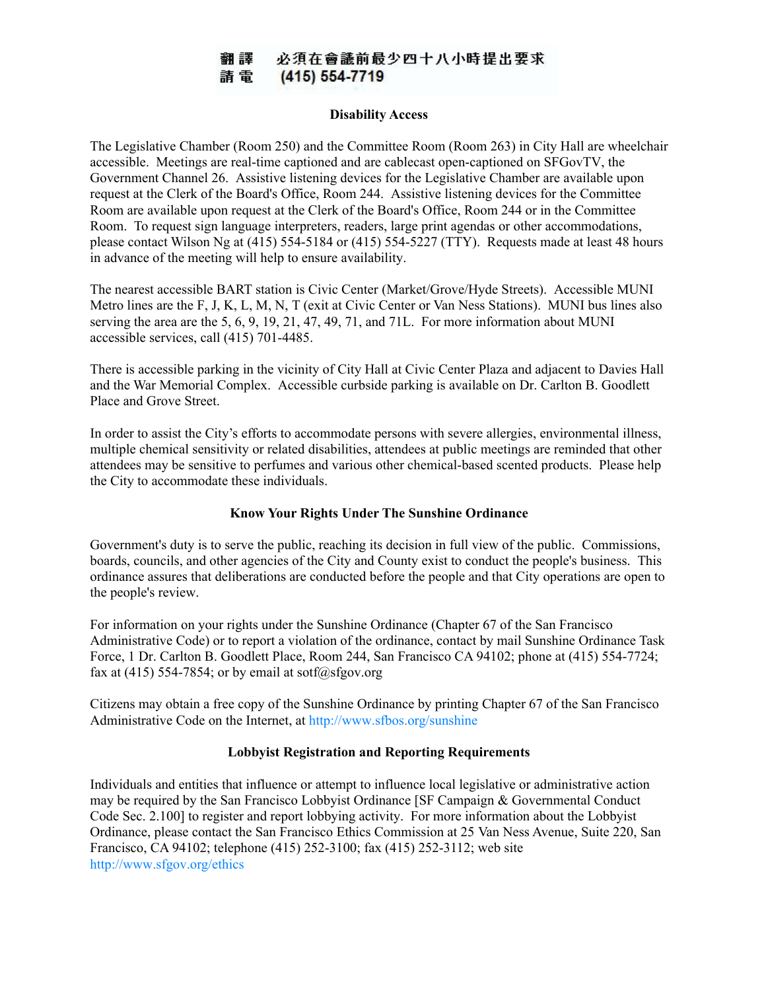#### 必須在會議前最少四十八小時提出要求 翻譯 請電 (415) 554-7719

#### **Disability Access**

The Legislative Chamber (Room 250) and the Committee Room (Room 263) in City Hall are wheelchair accessible. Meetings are real-time captioned and are cablecast open-captioned on SFGovTV, the Government Channel 26. Assistive listening devices for the Legislative Chamber are available upon request at the Clerk of the Board's Office, Room 244. Assistive listening devices for the Committee Room are available upon request at the Clerk of the Board's Office, Room 244 or in the Committee Room. To request sign language interpreters, readers, large print agendas or other accommodations, please contact Wilson Ng at (415) 554-5184 or (415) 554-5227 (TTY). Requests made at least 48 hours in advance of the meeting will help to ensure availability.

The nearest accessible BART station is Civic Center (Market/Grove/Hyde Streets). Accessible MUNI Metro lines are the F, J, K, L, M, N, T (exit at Civic Center or Van Ness Stations). MUNI bus lines also serving the area are the 5, 6, 9, 19, 21, 47, 49, 71, and 71L. For more information about MUNI accessible services, call (415) 701-4485.

There is accessible parking in the vicinity of City Hall at Civic Center Plaza and adjacent to Davies Hall and the War Memorial Complex. Accessible curbside parking is available on Dr. Carlton B. Goodlett Place and Grove Street.

In order to assist the City's efforts to accommodate persons with severe allergies, environmental illness, multiple chemical sensitivity or related disabilities, attendees at public meetings are reminded that other attendees may be sensitive to perfumes and various other chemical-based scented products. Please help the City to accommodate these individuals.

### **Know Your Rights Under The Sunshine Ordinance**

Government's duty is to serve the public, reaching its decision in full view of the public. Commissions, boards, councils, and other agencies of the City and County exist to conduct the people's business. This ordinance assures that deliberations are conducted before the people and that City operations are open to the people's review.

For information on your rights under the Sunshine Ordinance (Chapter 67 of the San Francisco Administrative Code) or to report a violation of the ordinance, contact by mail Sunshine Ordinance Task Force, 1 Dr. Carlton B. Goodlett Place, Room 244, San Francisco CA 94102; phone at (415) 554-7724; fax at (415) 554-7854; or by email at sotf@sfgov.org

Citizens may obtain a free copy of the Sunshine Ordinance by printing Chapter 67 of the San Francisco Administrative Code on the Internet, at http://www.sfbos.org/sunshine

### **Lobbyist Registration and Reporting Requirements**

Individuals and entities that influence or attempt to influence local legislative or administrative action may be required by the San Francisco Lobbyist Ordinance [SF Campaign & Governmental Conduct Code Sec. 2.100] to register and report lobbying activity. For more information about the Lobbyist Ordinance, please contact the San Francisco Ethics Commission at 25 Van Ness Avenue, Suite 220, San Francisco, CA 94102; telephone (415) 252-3100; fax (415) 252-3112; web site http://www.sfgov.org/ethics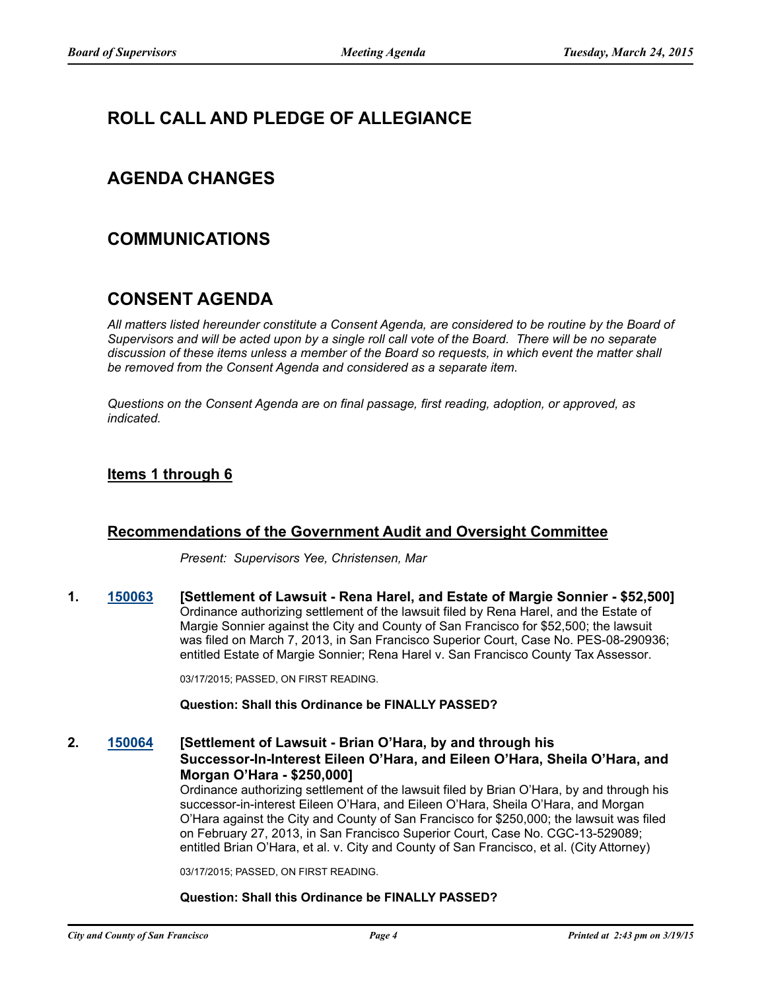# **ROLL CALL AND PLEDGE OF ALLEGIANCE**

# **AGENDA CHANGES**

# **COMMUNICATIONS**

# **CONSENT AGENDA**

*All matters listed hereunder constitute a Consent Agenda, are considered to be routine by the Board of Supervisors and will be acted upon by a single roll call vote of the Board. There will be no separate discussion of these items unless a member of the Board so requests, in which event the matter shall be removed from the Consent Agenda and considered as a separate item.*

*Questions on the Consent Agenda are on final passage, first reading, adoption, or approved, as indicated.*

### **Items 1 through 6**

### **Recommendations of the Government Audit and Oversight Committee**

*Present: Supervisors Yee, Christensen, Mar*

**1. [150063](http://sfgov.legistar.com/gateway.aspx?m=l&id=28973) [Settlement of Lawsuit - Rena Harel, and Estate of Margie Sonnier - \$52,500]** Ordinance authorizing settlement of the lawsuit filed by Rena Harel, and the Estate of Margie Sonnier against the City and County of San Francisco for \$52,500; the lawsuit was filed on March 7, 2013, in San Francisco Superior Court, Case No. PES-08-290936; entitled Estate of Margie Sonnier; Rena Harel v. San Francisco County Tax Assessor.

03/17/2015; PASSED, ON FIRST READING.

### **Question: Shall this Ordinance be FINALLY PASSED?**

**2. [150064](http://sfgov.legistar.com/gateway.aspx?m=l&id=28974) [Settlement of Lawsuit - Brian O'Hara, by and through his Successor-In-Interest Eileen O'Hara, and Eileen O'Hara, Sheila O'Hara, and Morgan O'Hara - \$250,000]**

Ordinance authorizing settlement of the lawsuit filed by Brian O'Hara, by and through his successor-in-interest Eileen O'Hara, and Eileen O'Hara, Sheila O'Hara, and Morgan O'Hara against the City and County of San Francisco for \$250,000; the lawsuit was filed on February 27, 2013, in San Francisco Superior Court, Case No. CGC-13-529089; entitled Brian O'Hara, et al. v. City and County of San Francisco, et al. (City Attorney)

03/17/2015; PASSED, ON FIRST READING.

### **Question: Shall this Ordinance be FINALLY PASSED?**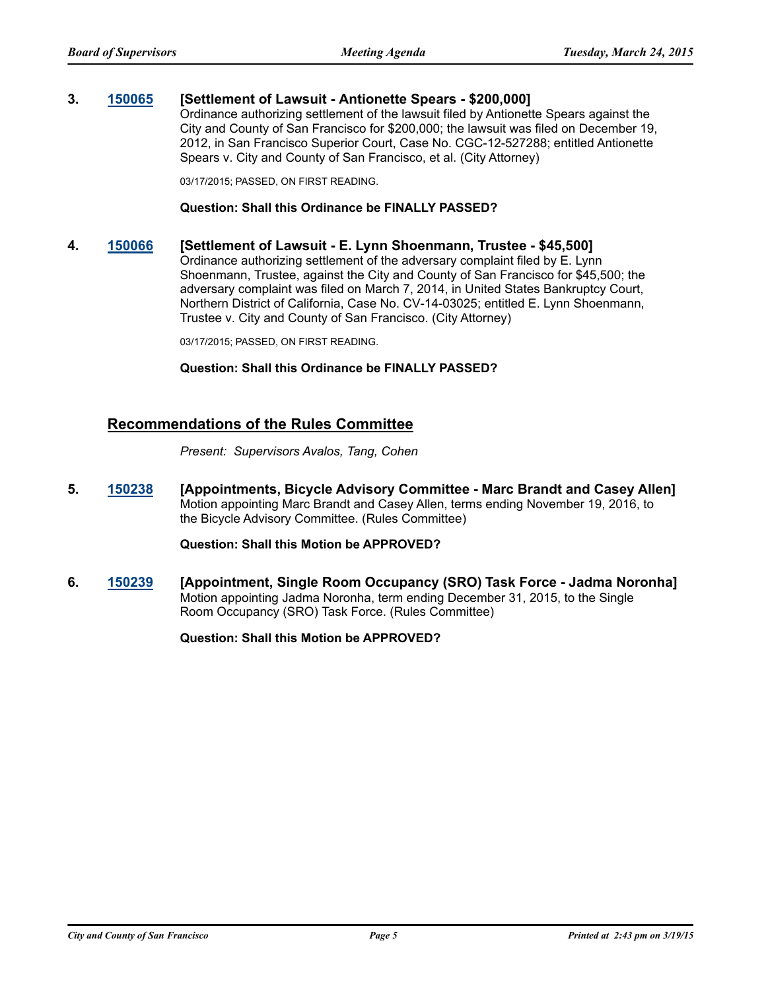### **3. [150065](http://sfgov.legistar.com/gateway.aspx?m=l&id=28975) [Settlement of Lawsuit - Antionette Spears - \$200,000]**

Ordinance authorizing settlement of the lawsuit filed by Antionette Spears against the City and County of San Francisco for \$200,000; the lawsuit was filed on December 19, 2012, in San Francisco Superior Court, Case No. CGC-12-527288; entitled Antionette Spears v. City and County of San Francisco, et al. (City Attorney)

03/17/2015; PASSED, ON FIRST READING.

#### **Question: Shall this Ordinance be FINALLY PASSED?**

### **4. [150066](http://sfgov.legistar.com/gateway.aspx?m=l&id=28976) [Settlement of Lawsuit - E. Lynn Shoenmann, Trustee - \$45,500]**

Ordinance authorizing settlement of the adversary complaint filed by E. Lynn Shoenmann, Trustee, against the City and County of San Francisco for \$45,500; the adversary complaint was filed on March 7, 2014, in United States Bankruptcy Court, Northern District of California, Case No. CV-14-03025; entitled E. Lynn Shoenmann, Trustee v. City and County of San Francisco. (City Attorney)

03/17/2015; PASSED, ON FIRST READING.

#### **Question: Shall this Ordinance be FINALLY PASSED?**

### **Recommendations of the Rules Committee**

*Present: Supervisors Avalos, Tang, Cohen*

**5. [150238](http://sfgov.legistar.com/gateway.aspx?m=l&id=29148) [Appointments, Bicycle Advisory Committee - Marc Brandt and Casey Allen]** Motion appointing Marc Brandt and Casey Allen, terms ending November 19, 2016, to the Bicycle Advisory Committee. (Rules Committee)

### **Question: Shall this Motion be APPROVED?**

**6. [150239](http://sfgov.legistar.com/gateway.aspx?m=l&id=29149) [Appointment, Single Room Occupancy (SRO) Task Force - Jadma Noronha]** Motion appointing Jadma Noronha, term ending December 31, 2015, to the Single Room Occupancy (SRO) Task Force. (Rules Committee)

**Question: Shall this Motion be APPROVED?**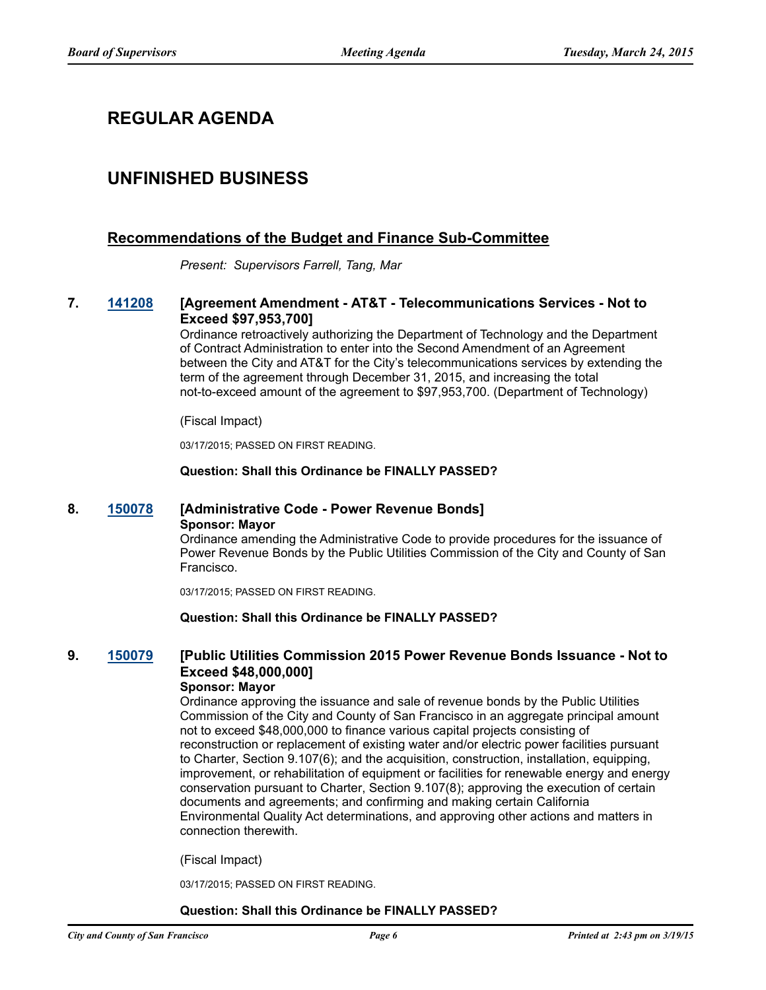# **REGULAR AGENDA**

# **UNFINISHED BUSINESS**

### **Recommendations of the Budget and Finance Sub-Committee**

*Present: Supervisors Farrell, Tang, Mar*

### **7. [141208](http://sfgov.legistar.com/gateway.aspx?m=l&id=28795) [Agreement Amendment - AT&T - Telecommunications Services - Not to Exceed \$97,953,700]**

Ordinance retroactively authorizing the Department of Technology and the Department of Contract Administration to enter into the Second Amendment of an Agreement between the City and AT&T for the City's telecommunications services by extending the term of the agreement through December 31, 2015, and increasing the total not-to-exceed amount of the agreement to \$97,953,700. (Department of Technology)

#### (Fiscal Impact)

03/17/2015; PASSED ON FIRST READING.

#### **Question: Shall this Ordinance be FINALLY PASSED?**

### **8. [150078](http://sfgov.legistar.com/gateway.aspx?m=l&id=28988) [Administrative Code - Power Revenue Bonds] Sponsor: Mayor**

Ordinance amending the Administrative Code to provide procedures for the issuance of Power Revenue Bonds by the Public Utilities Commission of the City and County of San Francisco.

03/17/2015; PASSED ON FIRST READING.

### **Question: Shall this Ordinance be FINALLY PASSED?**

# **9. [150079](http://sfgov.legistar.com/gateway.aspx?m=l&id=28989) [Public Utilities Commission 2015 Power Revenue Bonds Issuance - Not to Exceed \$48,000,000]**

### **Sponsor: Mayor**

Ordinance approving the issuance and sale of revenue bonds by the Public Utilities Commission of the City and County of San Francisco in an aggregate principal amount not to exceed \$48,000,000 to finance various capital projects consisting of reconstruction or replacement of existing water and/or electric power facilities pursuant to Charter, Section 9.107(6); and the acquisition, construction, installation, equipping, improvement, or rehabilitation of equipment or facilities for renewable energy and energy conservation pursuant to Charter, Section 9.107(8); approving the execution of certain documents and agreements; and confirming and making certain California Environmental Quality Act determinations, and approving other actions and matters in connection therewith.

(Fiscal Impact)

03/17/2015; PASSED ON FIRST READING.

#### **Question: Shall this Ordinance be FINALLY PASSED?**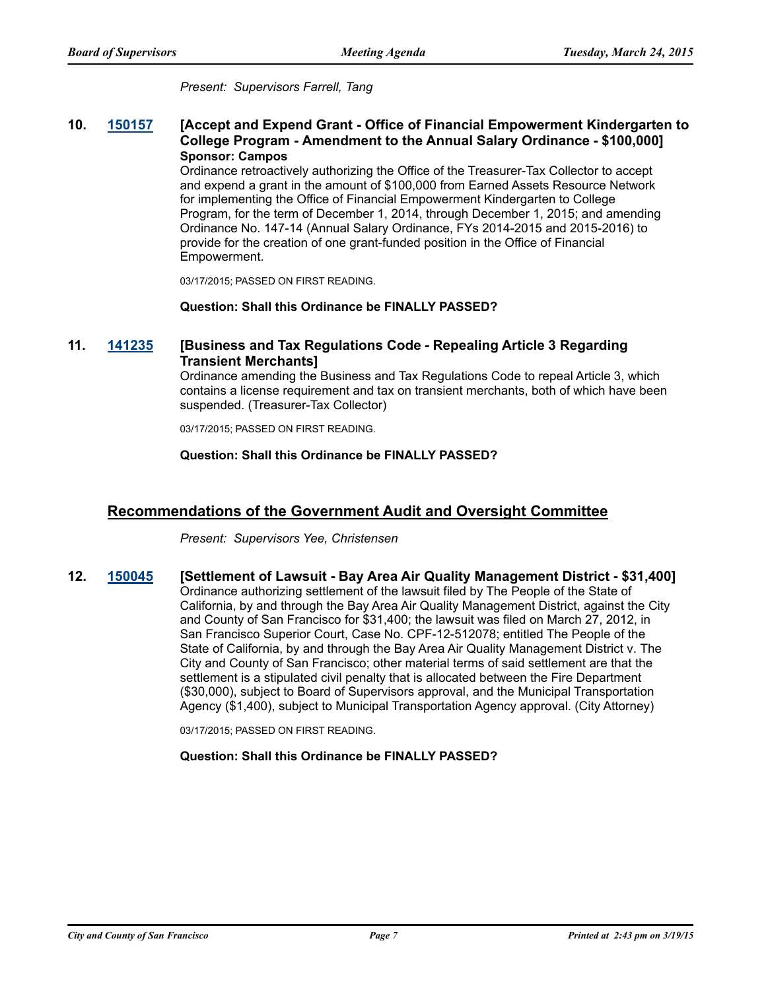*Present: Supervisors Farrell, Tang*

### **10. [150157](http://sfgov.legistar.com/gateway.aspx?m=l&id=29067) [Accept and Expend Grant - Office of Financial Empowerment Kindergarten to College Program - Amendment to the Annual Salary Ordinance - \$100,000] Sponsor: Campos**

Ordinance retroactively authorizing the Office of the Treasurer-Tax Collector to accept and expend a grant in the amount of \$100,000 from Earned Assets Resource Network for implementing the Office of Financial Empowerment Kindergarten to College Program, for the term of December 1, 2014, through December 1, 2015; and amending Ordinance No. 147-14 (Annual Salary Ordinance, FYs 2014-2015 and 2015-2016) to provide for the creation of one grant-funded position in the Office of Financial Empowerment.

03/17/2015; PASSED ON FIRST READING.

### **Question: Shall this Ordinance be FINALLY PASSED?**

### **11. [141235](http://sfgov.legistar.com/gateway.aspx?m=l&id=28822) [Business and Tax Regulations Code - Repealing Article 3 Regarding Transient Merchants]**

Ordinance amending the Business and Tax Regulations Code to repeal Article 3, which contains a license requirement and tax on transient merchants, both of which have been suspended. (Treasurer-Tax Collector)

03/17/2015; PASSED ON FIRST READING.

#### **Question: Shall this Ordinance be FINALLY PASSED?**

### **Recommendations of the Government Audit and Oversight Committee**

*Present: Supervisors Yee, Christensen*

**12. [150045](http://sfgov.legistar.com/gateway.aspx?m=l&id=28955) [Settlement of Lawsuit - Bay Area Air Quality Management District - \$31,400]** Ordinance authorizing settlement of the lawsuit filed by The People of the State of California, by and through the Bay Area Air Quality Management District, against the City and County of San Francisco for \$31,400; the lawsuit was filed on March 27, 2012, in San Francisco Superior Court, Case No. CPF-12-512078; entitled The People of the State of California, by and through the Bay Area Air Quality Management District v. The City and County of San Francisco; other material terms of said settlement are that the settlement is a stipulated civil penalty that is allocated between the Fire Department (\$30,000), subject to Board of Supervisors approval, and the Municipal Transportation Agency (\$1,400), subject to Municipal Transportation Agency approval. (City Attorney)

03/17/2015; PASSED ON FIRST READING.

### **Question: Shall this Ordinance be FINALLY PASSED?**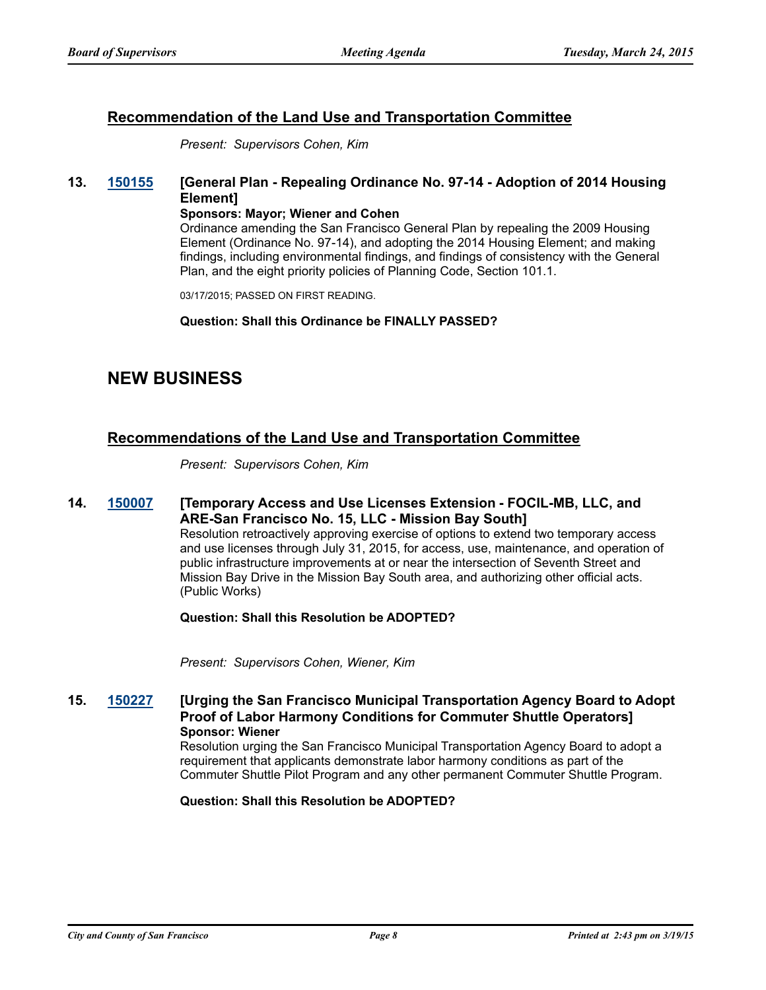### **Recommendation of the Land Use and Transportation Committee**

*Present: Supervisors Cohen, Kim*

### **13. [150155](http://sfgov.legistar.com/gateway.aspx?m=l&id=29065) [General Plan - Repealing Ordinance No. 97-14 - Adoption of 2014 Housing Element]**

#### **Sponsors: Mayor; Wiener and Cohen**

Ordinance amending the San Francisco General Plan by repealing the 2009 Housing Element (Ordinance No. 97-14), and adopting the 2014 Housing Element; and making findings, including environmental findings, and findings of consistency with the General Plan, and the eight priority policies of Planning Code, Section 101.1.

03/17/2015; PASSED ON FIRST READING.

**Question: Shall this Ordinance be FINALLY PASSED?**

# **NEW BUSINESS**

### **Recommendations of the Land Use and Transportation Committee**

*Present: Supervisors Cohen, Kim*

**14. [150007](http://sfgov.legistar.com/gateway.aspx?m=l&id=28917) [Temporary Access and Use Licenses Extension - FOCIL-MB, LLC, and ARE-San Francisco No. 15, LLC - Mission Bay South]** Resolution retroactively approving exercise of options to extend two temporary access and use licenses through July 31, 2015, for access, use, maintenance, and operation of public infrastructure improvements at or near the intersection of Seventh Street and Mission Bay Drive in the Mission Bay South area, and authorizing other official acts.

(Public Works)

**Question: Shall this Resolution be ADOPTED?**

*Present: Supervisors Cohen, Wiener, Kim*

**15. [150227](http://sfgov.legistar.com/gateway.aspx?m=l&id=29137) [Urging the San Francisco Municipal Transportation Agency Board to Adopt Proof of Labor Harmony Conditions for Commuter Shuttle Operators] Sponsor: Wiener**

Resolution urging the San Francisco Municipal Transportation Agency Board to adopt a requirement that applicants demonstrate labor harmony conditions as part of the Commuter Shuttle Pilot Program and any other permanent Commuter Shuttle Program.

**Question: Shall this Resolution be ADOPTED?**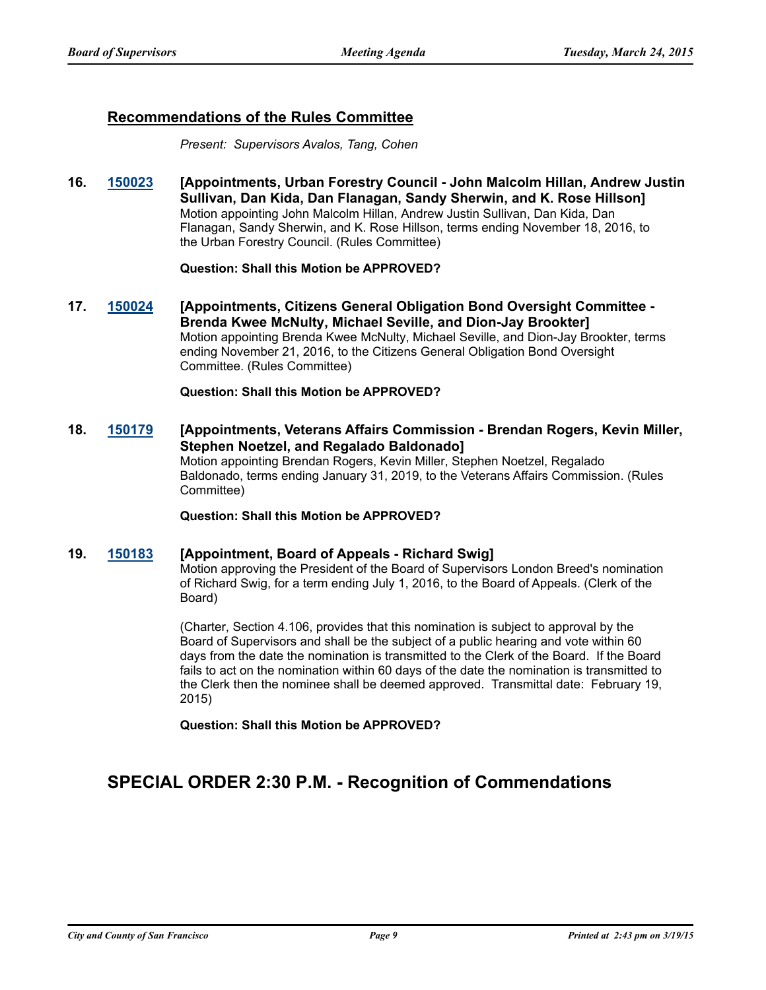### **Recommendations of the Rules Committee**

*Present: Supervisors Avalos, Tang, Cohen*

**16. [150023](http://sfgov.legistar.com/gateway.aspx?m=l&id=28933) [Appointments, Urban Forestry Council - John Malcolm Hillan, Andrew Justin Sullivan, Dan Kida, Dan Flanagan, Sandy Sherwin, and K. Rose Hillson]** Motion appointing John Malcolm Hillan, Andrew Justin Sullivan, Dan Kida, Dan Flanagan, Sandy Sherwin, and K. Rose Hillson, terms ending November 18, 2016, to the Urban Forestry Council. (Rules Committee)

### **Question: Shall this Motion be APPROVED?**

**17. [150024](http://sfgov.legistar.com/gateway.aspx?m=l&id=28934) [Appointments, Citizens General Obligation Bond Oversight Committee - Brenda Kwee McNulty, Michael Seville, and Dion-Jay Brookter]** Motion appointing Brenda Kwee McNulty, Michael Seville, and Dion-Jay Brookter, terms ending November 21, 2016, to the Citizens General Obligation Bond Oversight Committee. (Rules Committee)

**Question: Shall this Motion be APPROVED?**

**18. [150179](http://sfgov.legistar.com/gateway.aspx?m=l&id=29089) [Appointments, Veterans Affairs Commission - Brendan Rogers, Kevin Miller, Stephen Noetzel, and Regalado Baldonado]** Motion appointing Brendan Rogers, Kevin Miller, Stephen Noetzel, Regalado Baldonado, terms ending January 31, 2019, to the Veterans Affairs Commission. (Rules Committee)

**Question: Shall this Motion be APPROVED?**

#### **19. [150183](http://sfgov.legistar.com/gateway.aspx?m=l&id=29093) [Appointment, Board of Appeals - Richard Swig]**

Motion approving the President of the Board of Supervisors London Breed's nomination of Richard Swig, for a term ending July 1, 2016, to the Board of Appeals. (Clerk of the Board)

(Charter, Section 4.106, provides that this nomination is subject to approval by the Board of Supervisors and shall be the subject of a public hearing and vote within 60 days from the date the nomination is transmitted to the Clerk of the Board. If the Board fails to act on the nomination within 60 days of the date the nomination is transmitted to the Clerk then the nominee shall be deemed approved. Transmittal date: February 19, 2015)

**Question: Shall this Motion be APPROVED?**

# **SPECIAL ORDER 2:30 P.M. - Recognition of Commendations**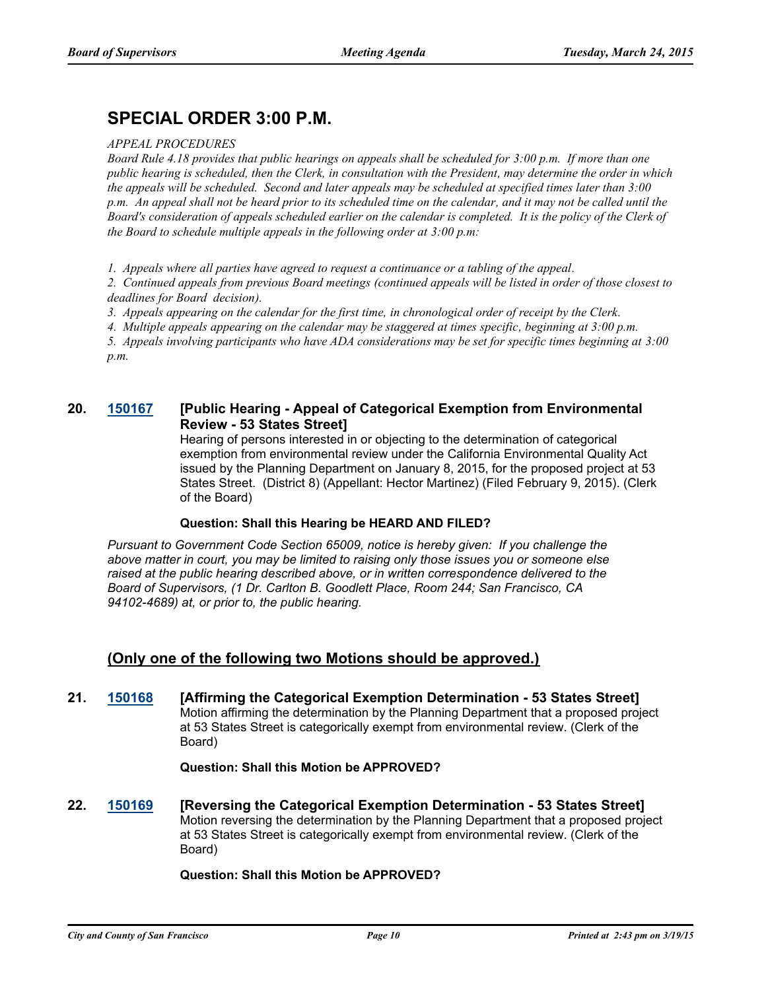# **SPECIAL ORDER 3:00 P.M.**

#### *APPEAL PROCEDURES*

*Board Rule 4.18 provides that public hearings on appeals shall be scheduled for 3:00 p.m. If more than one public hearing is scheduled, then the Clerk, in consultation with the President, may determine the order in which the appeals will be scheduled. Second and later appeals may be scheduled at specified times later than 3:00 p.m. An appeal shall not be heard prior to its scheduled time on the calendar, and it may not be called until the Board's consideration of appeals scheduled earlier on the calendar is completed. It is the policy of the Clerk of the Board to schedule multiple appeals in the following order at 3:00 p.m:*

*1. Appeals where all parties have agreed to request a continuance or a tabling of the appeal.*

*2. Continued appeals from previous Board meetings (continued appeals will be listed in order of those closest to deadlines for Board decision).*

*3. Appeals appearing on the calendar for the first time, in chronological order of receipt by the Clerk.*

*4. Multiple appeals appearing on the calendar may be staggered at times specific, beginning at 3:00 p.m.*

*5. Appeals involving participants who have ADA considerations may be set for specific times beginning at 3:00 p.m.*

### **20. [150167](http://sfgov.legistar.com/gateway.aspx?m=l&id=29077) [Public Hearing - Appeal of Categorical Exemption from Environmental Review - 53 States Street]**

Hearing of persons interested in or objecting to the determination of categorical exemption from environmental review under the California Environmental Quality Act issued by the Planning Department on January 8, 2015, for the proposed project at 53 States Street. (District 8) (Appellant: Hector Martinez) (Filed February 9, 2015). (Clerk of the Board)

### **Question: Shall this Hearing be HEARD AND FILED?**

*Pursuant to Government Code Section 65009, notice is hereby given: If you challenge the above matter in court, you may be limited to raising only those issues you or someone else raised at the public hearing described above, or in written correspondence delivered to the Board of Supervisors, (1 Dr. Carlton B. Goodlett Place, Room 244; San Francisco, CA 94102-4689) at, or prior to, the public hearing.*

## **(Only one of the following two Motions should be approved.)**

**21. [150168](http://sfgov.legistar.com/gateway.aspx?m=l&id=29078) [Affirming the Categorical Exemption Determination - 53 States Street]** Motion affirming the determination by the Planning Department that a proposed project at 53 States Street is categorically exempt from environmental review. (Clerk of the Board)

### **Question: Shall this Motion be APPROVED?**

**22. [150169](http://sfgov.legistar.com/gateway.aspx?m=l&id=29079) [Reversing the Categorical Exemption Determination - 53 States Street]** Motion reversing the determination by the Planning Department that a proposed project at 53 States Street is categorically exempt from environmental review. (Clerk of the Board)

### **Question: Shall this Motion be APPROVED?**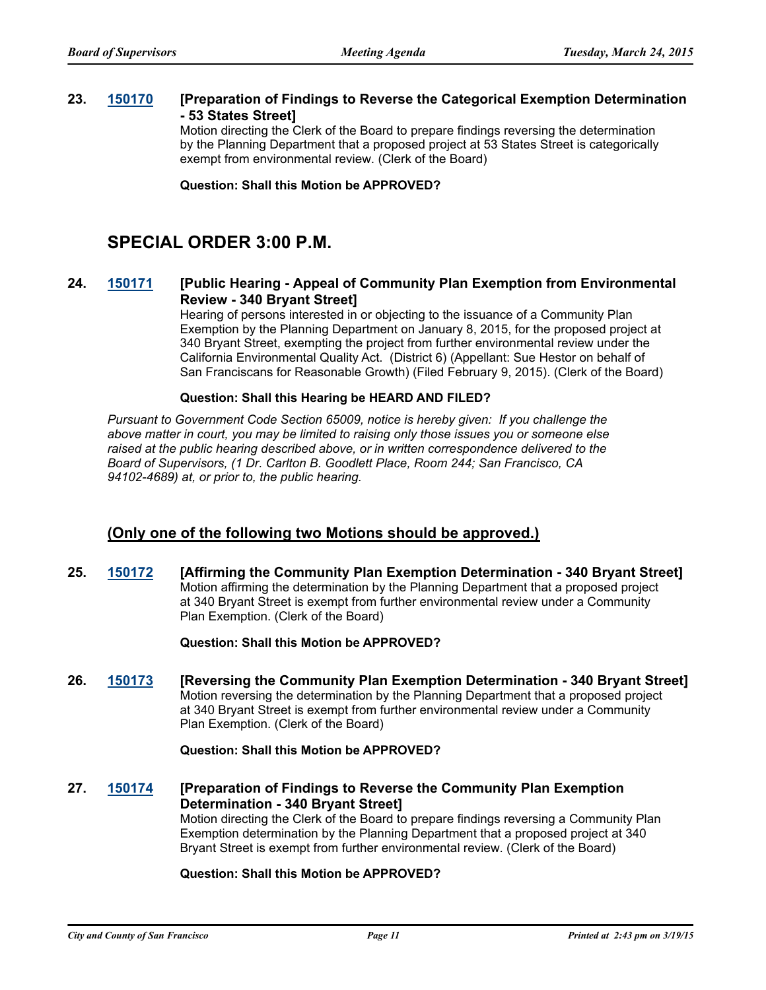### **23. [150170](http://sfgov.legistar.com/gateway.aspx?m=l&id=29080) [Preparation of Findings to Reverse the Categorical Exemption Determination - 53 States Street]**

Motion directing the Clerk of the Board to prepare findings reversing the determination by the Planning Department that a proposed project at 53 States Street is categorically exempt from environmental review. (Clerk of the Board)

**Question: Shall this Motion be APPROVED?**

# **SPECIAL ORDER 3:00 P.M.**

### **24. [150171](http://sfgov.legistar.com/gateway.aspx?m=l&id=29081) [Public Hearing - Appeal of Community Plan Exemption from Environmental Review - 340 Bryant Street]**

Hearing of persons interested in or objecting to the issuance of a Community Plan Exemption by the Planning Department on January 8, 2015, for the proposed project at 340 Bryant Street, exempting the project from further environmental review under the California Environmental Quality Act. (District 6) (Appellant: Sue Hestor on behalf of San Franciscans for Reasonable Growth) (Filed February 9, 2015). (Clerk of the Board)

#### **Question: Shall this Hearing be HEARD AND FILED?**

*Pursuant to Government Code Section 65009, notice is hereby given: If you challenge the above matter in court, you may be limited to raising only those issues you or someone else raised at the public hearing described above, or in written correspondence delivered to the Board of Supervisors, (1 Dr. Carlton B. Goodlett Place, Room 244; San Francisco, CA 94102-4689) at, or prior to, the public hearing.*

### **(Only one of the following two Motions should be approved.)**

**25. [150172](http://sfgov.legistar.com/gateway.aspx?m=l&id=29082) [Affirming the Community Plan Exemption Determination - 340 Bryant Street]** Motion affirming the determination by the Planning Department that a proposed project at 340 Bryant Street is exempt from further environmental review under a Community Plan Exemption. (Clerk of the Board)

**Question: Shall this Motion be APPROVED?**

**26. [150173](http://sfgov.legistar.com/gateway.aspx?m=l&id=29083) [Reversing the Community Plan Exemption Determination - 340 Bryant Street]** Motion reversing the determination by the Planning Department that a proposed project at 340 Bryant Street is exempt from further environmental review under a Community Plan Exemption. (Clerk of the Board)

### **Question: Shall this Motion be APPROVED?**

**27. [150174](http://sfgov.legistar.com/gateway.aspx?m=l&id=29084) [Preparation of Findings to Reverse the Community Plan Exemption Determination - 340 Bryant Street]** Motion directing the Clerk of the Board to prepare findings reversing a Community Plan Exemption determination by the Planning Department that a proposed project at 340 Bryant Street is exempt from further environmental review. (Clerk of the Board)

### **Question: Shall this Motion be APPROVED?**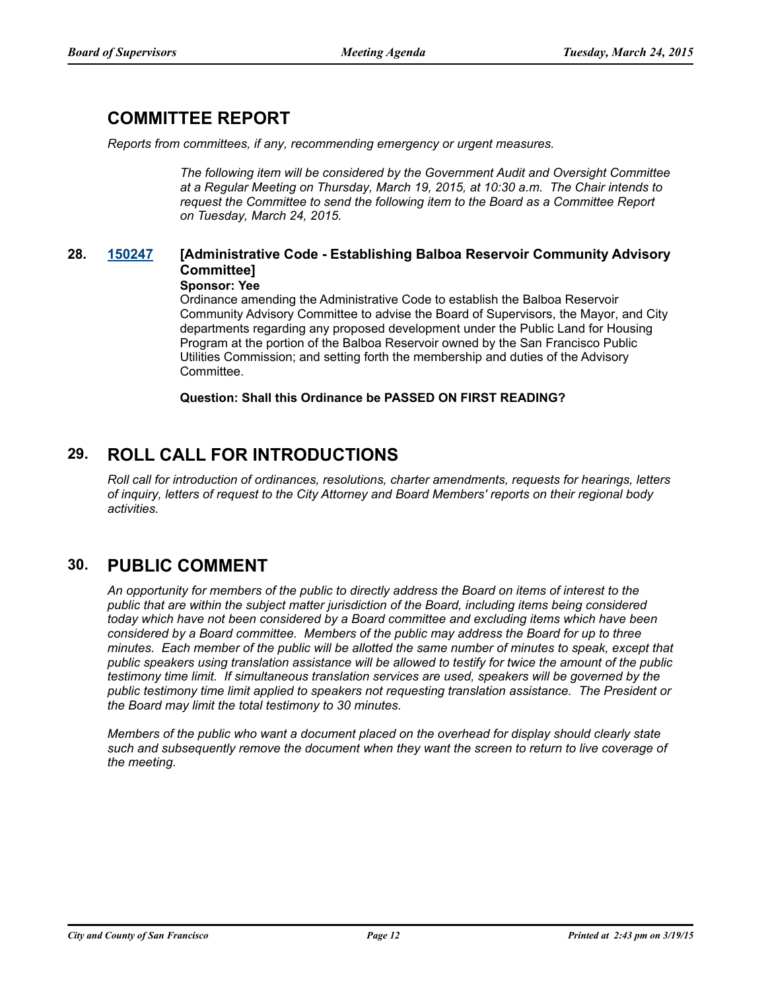# **COMMITTEE REPORT**

*Reports from committees, if any, recommending emergency or urgent measures.*

*The following item will be considered by the Government Audit and Oversight Committee at a Regular Meeting on Thursday, March 19, 2015, at 10:30 a.m. The Chair intends to request the Committee to send the following item to the Board as a Committee Report on Tuesday, March 24, 2015.*

### **28. [150247](http://sfgov.legistar.com/gateway.aspx?m=l&id=29157) [Administrative Code - Establishing Balboa Reservoir Community Advisory Committee]**

#### **Sponsor: Yee**

Ordinance amending the Administrative Code to establish the Balboa Reservoir Community Advisory Committee to advise the Board of Supervisors, the Mayor, and City departments regarding any proposed development under the Public Land for Housing Program at the portion of the Balboa Reservoir owned by the San Francisco Public Utilities Commission; and setting forth the membership and duties of the Advisory Committee.

**Question: Shall this Ordinance be PASSED ON FIRST READING?**

# **29. ROLL CALL FOR INTRODUCTIONS**

*Roll call for introduction of ordinances, resolutions, charter amendments, requests for hearings, letters of inquiry, letters of request to the City Attorney and Board Members' reports on their regional body activities.*

# **30. PUBLIC COMMENT**

*An opportunity for members of the public to directly address the Board on items of interest to the public that are within the subject matter jurisdiction of the Board, including items being considered today which have not been considered by a Board committee and excluding items which have been considered by a Board committee. Members of the public may address the Board for up to three minutes. Each member of the public will be allotted the same number of minutes to speak, except that public speakers using translation assistance will be allowed to testify for twice the amount of the public testimony time limit. If simultaneous translation services are used, speakers will be governed by the public testimony time limit applied to speakers not requesting translation assistance. The President or the Board may limit the total testimony to 30 minutes.*

*Members of the public who want a document placed on the overhead for display should clearly state such and subsequently remove the document when they want the screen to return to live coverage of the meeting.*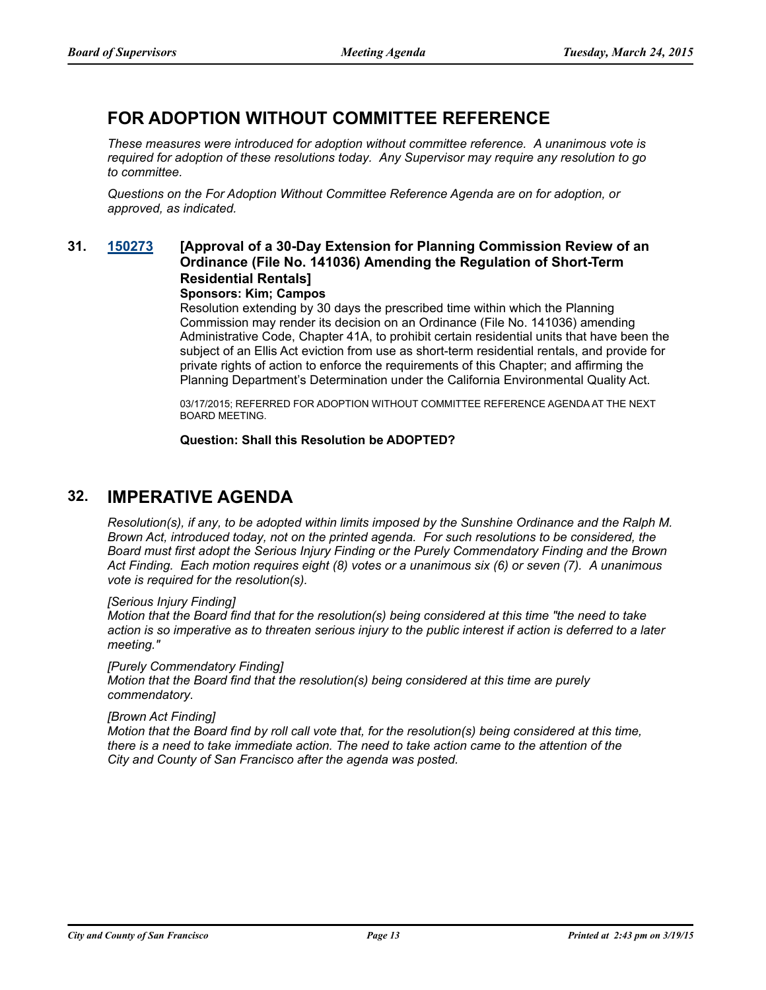# **FOR ADOPTION WITHOUT COMMITTEE REFERENCE**

*These measures were introduced for adoption without committee reference. A unanimous vote is required for adoption of these resolutions today. Any Supervisor may require any resolution to go to committee.*

*Questions on the For Adoption Without Committee Reference Agenda are on for adoption, or approved, as indicated.*

### **31. [150273](http://sfgov.legistar.com/gateway.aspx?m=l&id=29183) [Approval of a 30-Day Extension for Planning Commission Review of an Ordinance (File No. 141036) Amending the Regulation of Short-Term Residential Rentals]**

### **Sponsors: Kim; Campos**

Resolution extending by 30 days the prescribed time within which the Planning Commission may render its decision on an Ordinance (File No. 141036) amending Administrative Code, Chapter 41A, to prohibit certain residential units that have been the subject of an Ellis Act eviction from use as short-term residential rentals, and provide for private rights of action to enforce the requirements of this Chapter; and affirming the Planning Department's Determination under the California Environmental Quality Act.

03/17/2015; REFERRED FOR ADOPTION WITHOUT COMMITTEE REFERENCE AGENDA AT THE NEXT BOARD MEETING.

**Question: Shall this Resolution be ADOPTED?**

# **32. IMPERATIVE AGENDA**

*Resolution(s), if any, to be adopted within limits imposed by the Sunshine Ordinance and the Ralph M. Brown Act, introduced today, not on the printed agenda. For such resolutions to be considered, the Board must first adopt the Serious Injury Finding or the Purely Commendatory Finding and the Brown Act Finding. Each motion requires eight (8) votes or a unanimous six (6) or seven (7). A unanimous vote is required for the resolution(s).*

#### *[Serious Injury Finding]*

*Motion that the Board find that for the resolution(s) being considered at this time "the need to take action is so imperative as to threaten serious injury to the public interest if action is deferred to a later meeting."*

#### *[Purely Commendatory Finding]*

*Motion that the Board find that the resolution(s) being considered at this time are purely commendatory.*

#### *[Brown Act Finding]*

*Motion that the Board find by roll call vote that, for the resolution(s) being considered at this time, there is a need to take immediate action. The need to take action came to the attention of the City and County of San Francisco after the agenda was posted.*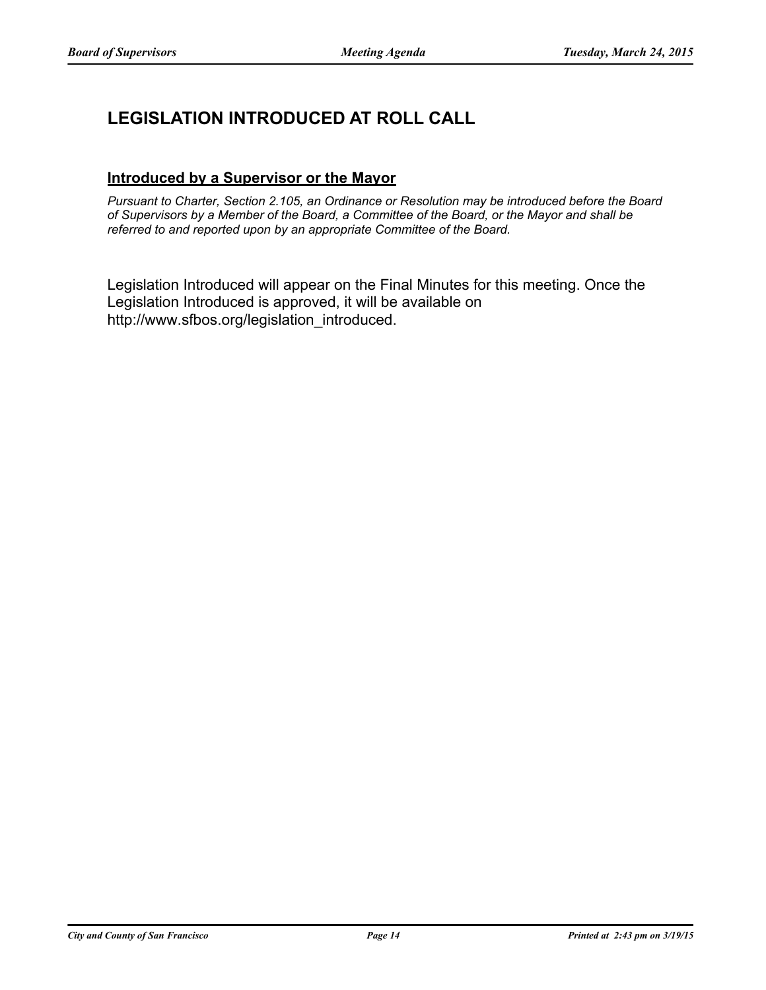# **LEGISLATION INTRODUCED AT ROLL CALL**

### **Introduced by a Supervisor or the Mayor**

*Pursuant to Charter, Section 2.105, an Ordinance or Resolution may be introduced before the Board of Supervisors by a Member of the Board, a Committee of the Board, or the Mayor and shall be referred to and reported upon by an appropriate Committee of the Board.*

Legislation Introduced will appear on the Final Minutes for this meeting. Once the Legislation Introduced is approved, it will be available on http://www.sfbos.org/legislation\_introduced.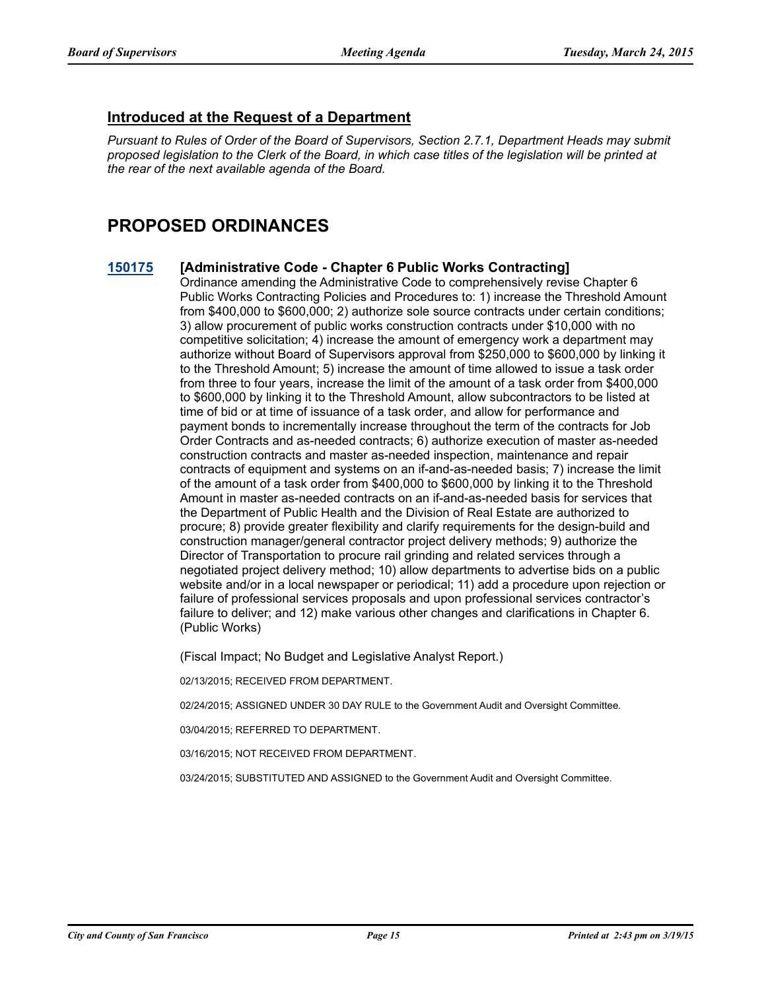### **Introduced at the Request of a Department**

*Pursuant to Rules of Order of the Board of Supervisors, Section 2.7.1, Department Heads may submit proposed legislation to the Clerk of the Board, in which case titles of the legislation will be printed at the rear of the next available agenda of the Board.*

# **PROPOSED ORDINANCES**

### **[150175](http://sfgov.legistar.com/gateway.aspx?m=l&id=29085) [Administrative Code - Chapter 6 Public Works Contracting]**

Ordinance amending the Administrative Code to comprehensively revise Chapter 6 Public Works Contracting Policies and Procedures to: 1) increase the Threshold Amount from \$400,000 to \$600,000; 2) authorize sole source contracts under certain conditions; 3) allow procurement of public works construction contracts under \$10,000 with no competitive solicitation; 4) increase the amount of emergency work a department may authorize without Board of Supervisors approval from \$250,000 to \$600,000 by linking it to the Threshold Amount; 5) increase the amount of time allowed to issue a task order from three to four years, increase the limit of the amount of a task order from \$400,000 to \$600,000 by linking it to the Threshold Amount, allow subcontractors to be listed at time of bid or at time of issuance of a task order, and allow for performance and payment bonds to incrementally increase throughout the term of the contracts for Job Order Contracts and as-needed contracts; 6) authorize execution of master as-needed construction contracts and master as-needed inspection, maintenance and repair contracts of equipment and systems on an if-and-as-needed basis; 7) increase the limit of the amount of a task order from \$400,000 to \$600,000 by linking it to the Threshold Amount in master as-needed contracts on an if-and-as-needed basis for services that the Department of Public Health and the Division of Real Estate are authorized to procure; 8) provide greater flexibility and clarify requirements for the design-build and construction manager/general contractor project delivery methods; 9) authorize the Director of Transportation to procure rail grinding and related services through a negotiated project delivery method; 10) allow departments to advertise bids on a public website and/or in a local newspaper or periodical; 11) add a procedure upon rejection or failure of professional services proposals and upon professional services contractor's failure to deliver; and 12) make various other changes and clarifications in Chapter 6. (Public Works)

(Fiscal Impact; No Budget and Legislative Analyst Report.)

02/13/2015; RECEIVED FROM DEPARTMENT.

02/24/2015; ASSIGNED UNDER 30 DAY RULE to the Government Audit and Oversight Committee.

03/04/2015; REFERRED TO DEPARTMENT.

03/16/2015; NOT RECEIVED FROM DEPARTMENT.

03/24/2015; SUBSTITUTED AND ASSIGNED to the Government Audit and Oversight Committee.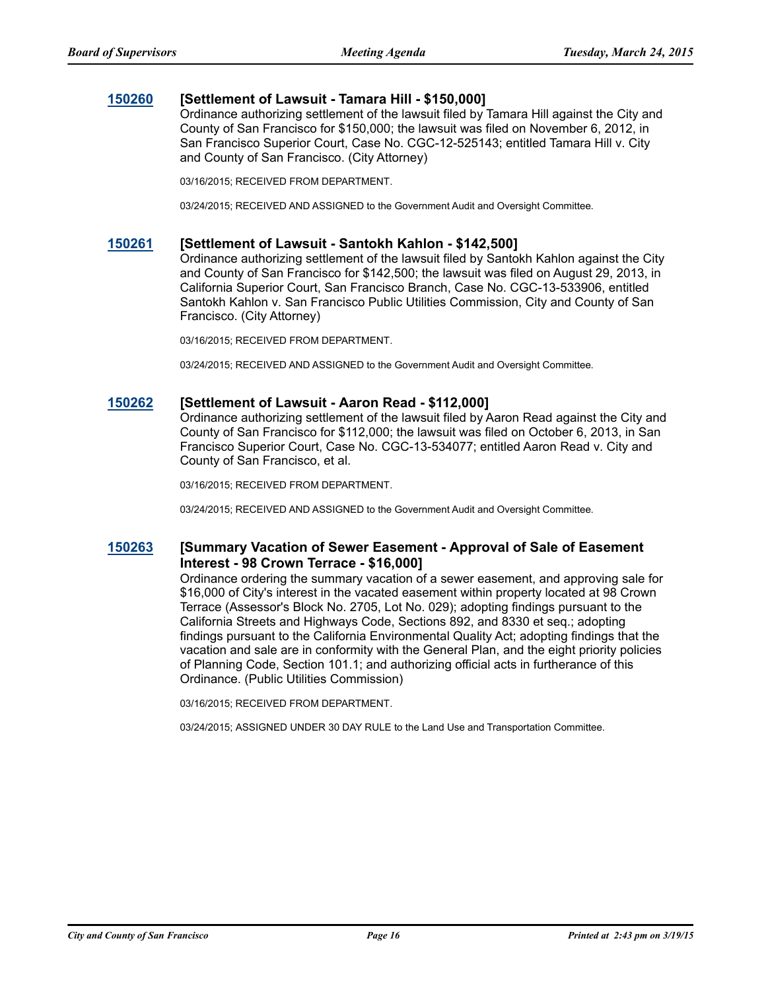### **[150260](http://sfgov.legistar.com/gateway.aspx?m=l&id=29170) [Settlement of Lawsuit - Tamara Hill - \$150,000]**

Ordinance authorizing settlement of the lawsuit filed by Tamara Hill against the City and County of San Francisco for \$150,000; the lawsuit was filed on November 6, 2012, in San Francisco Superior Court, Case No. CGC-12-525143; entitled Tamara Hill v. City and County of San Francisco. (City Attorney)

03/16/2015; RECEIVED FROM DEPARTMENT.

03/24/2015; RECEIVED AND ASSIGNED to the Government Audit and Oversight Committee.

#### **[150261](http://sfgov.legistar.com/gateway.aspx?m=l&id=29171) [Settlement of Lawsuit - Santokh Kahlon - \$142,500]**

Ordinance authorizing settlement of the lawsuit filed by Santokh Kahlon against the City and County of San Francisco for \$142,500; the lawsuit was filed on August 29, 2013, in California Superior Court, San Francisco Branch, Case No. CGC-13-533906, entitled Santokh Kahlon v. San Francisco Public Utilities Commission, City and County of San Francisco. (City Attorney)

03/16/2015; RECEIVED FROM DEPARTMENT.

03/24/2015; RECEIVED AND ASSIGNED to the Government Audit and Oversight Committee.

#### **[150262](http://sfgov.legistar.com/gateway.aspx?m=l&id=29172) [Settlement of Lawsuit - Aaron Read - \$112,000]**

Ordinance authorizing settlement of the lawsuit filed by Aaron Read against the City and County of San Francisco for \$112,000; the lawsuit was filed on October 6, 2013, in San Francisco Superior Court, Case No. CGC-13-534077; entitled Aaron Read v. City and County of San Francisco, et al.

03/16/2015; RECEIVED FROM DEPARTMENT.

03/24/2015; RECEIVED AND ASSIGNED to the Government Audit and Oversight Committee.

### **[150263](http://sfgov.legistar.com/gateway.aspx?m=l&id=29173) [Summary Vacation of Sewer Easement - Approval of Sale of Easement Interest - 98 Crown Terrace - \$16,000]**

Ordinance ordering the summary vacation of a sewer easement, and approving sale for \$16,000 of City's interest in the vacated easement within property located at 98 Crown Terrace (Assessor's Block No. 2705, Lot No. 029); adopting findings pursuant to the California Streets and Highways Code, Sections 892, and 8330 et seq.; adopting findings pursuant to the California Environmental Quality Act; adopting findings that the vacation and sale are in conformity with the General Plan, and the eight priority policies of Planning Code, Section 101.1; and authorizing official acts in furtherance of this Ordinance. (Public Utilities Commission)

03/16/2015; RECEIVED FROM DEPARTMENT.

03/24/2015; ASSIGNED UNDER 30 DAY RULE to the Land Use and Transportation Committee.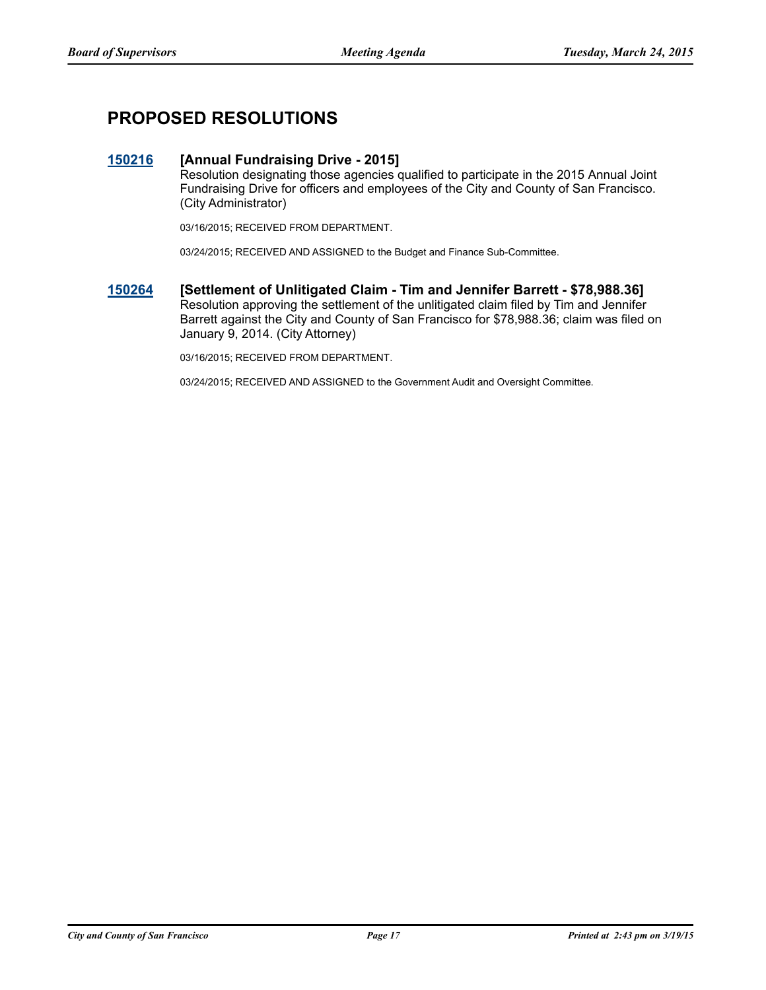# **PROPOSED RESOLUTIONS**

### **[150216](http://sfgov.legistar.com/gateway.aspx?m=l&id=29126) [Annual Fundraising Drive - 2015]**

Resolution designating those agencies qualified to participate in the 2015 Annual Joint Fundraising Drive for officers and employees of the City and County of San Francisco. (City Administrator)

03/16/2015; RECEIVED FROM DEPARTMENT.

03/24/2015; RECEIVED AND ASSIGNED to the Budget and Finance Sub-Committee.

**[150264](http://sfgov.legistar.com/gateway.aspx?m=l&id=29174) [Settlement of Unlitigated Claim - Tim and Jennifer Barrett - \$78,988.36]** Resolution approving the settlement of the unlitigated claim filed by Tim and Jennifer Barrett against the City and County of San Francisco for \$78,988.36; claim was filed on January 9, 2014. (City Attorney)

03/16/2015; RECEIVED FROM DEPARTMENT.

03/24/2015; RECEIVED AND ASSIGNED to the Government Audit and Oversight Committee.